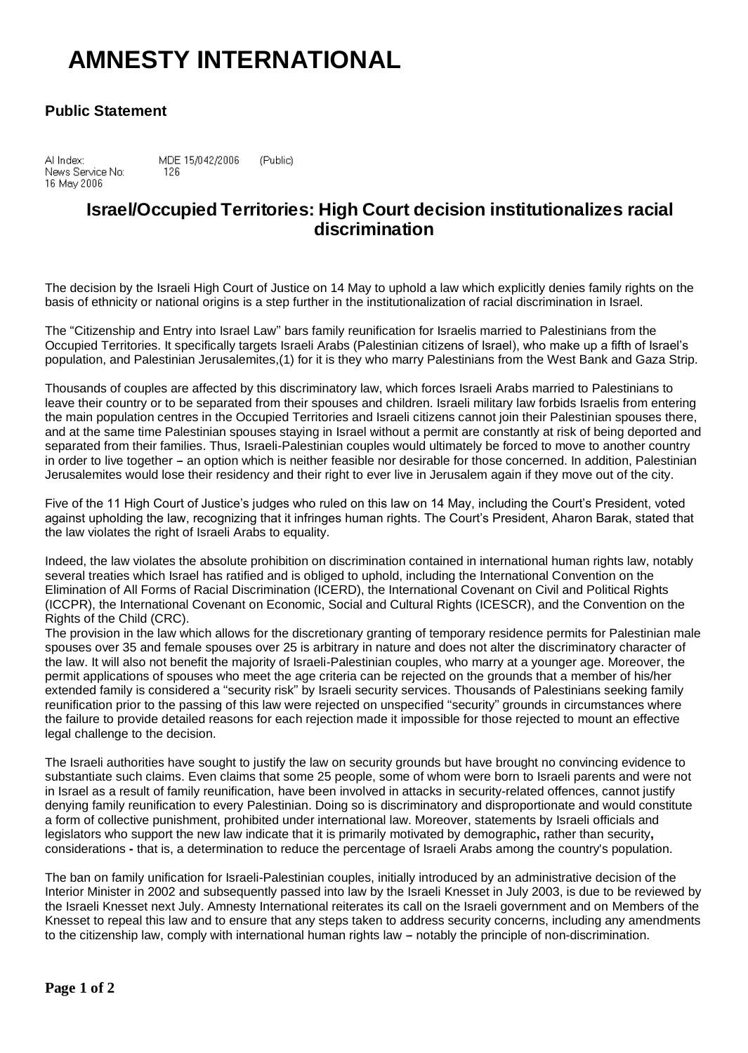## **AMNESTY INTERNATIONAL**

## **Public Statement**

Al Index: MDE 15/042/2006 (Public) News Service No: 126 16 May 2006

## **Israel/Occupied Territories: High Court decision institutionalizes racial discrimination**

The decision by the Israeli High Court of Justice on 14 May to uphold a law which explicitly denies family rights on the basis of ethnicity or national origins is a step further in the institutionalization of racial discrimination in Israel.

The ''Citizenship and Entry into Israel Law'' bars family reunification for Israelis married to Palestinians from the Occupied Territories. It specifically targets Israeli Arabs (Palestinian citizens of Israel), who make up a fifth of Israel's population, and Palestinian Jerusalemites,(1) for it is they who marry Palestinians from the West Bank and Gaza Strip.

Thousands of couples are affected by this discriminatory law, which forces Israeli Arabs married to Palestinians to leave their country or to be separated from their spouses and children. Israeli military law forbids Israelis from entering the main population centres in the Occupied Territories and Israeli citizens cannot join their Palestinian spouses there, and at the same time Palestinian spouses staying in Israel without a permit are constantly at risk of being deported and separated from their families. Thus, Israeli-Palestinian couples would ultimately be forced to move to another country in order to live together - an option which is neither feasible nor desirable for those concerned. In addition, Palestinian Jerusalemites would lose their residency and their right to ever live in Jerusalem again if they move out of the city.

Five of the 11 High Court of Justice's judges who ruled on this law on 14 May, including the Court's President, voted against upholding the law, recognizing that it infringes human rights. The Court's President, Aharon Barak, stated that the law violates the right of Israeli Arabs to equality.

Indeed, the law violates the absolute prohibition on discrimination contained in international human rights law, notably several treaties which Israel has ratified and is obliged to uphold, including the International Convention on the Elimination of All Forms of Racial Discrimination (ICERD), the International Covenant on Civil and Political Rights (ICCPR), the International Covenant on Economic, Social and Cultural Rights (ICESCR), and the Convention on the Rights of the Child (CRC).

The provision in the law which allows for the discretionary granting of temporary residence permits for Palestinian male spouses over 35 and female spouses over 25 is arbitrary in nature and does not alter the discriminatory character of the law. It will also not benefit the majority of Israeli-Palestinian couples, who marry at a younger age. Moreover, the permit applications of spouses who meet the age criteria can be rejected on the grounds that a member of his/her extended family is considered a ''security risk'' by Israeli security services. Thousands of Palestinians seeking family reunification prior to the passing of this law were rejected on unspecified ''security'' grounds in circumstances where the failure to provide detailed reasons for each rejection made it impossible for those rejected to mount an effective legal challenge to the decision.

The Israeli authorities have sought to justify the law on security grounds but have brought no convincing evidence to substantiate such claims. Even claims that some 25 people, some of whom were born to Israeli parents and were not in Israel as a result of family reunification, have been involved in attacks in security-related offences, cannot justify denying family reunification to every Palestinian. Doing so is discriminatory and disproportionate and would constitute a form of collective punishment, prohibited under international law. Moreover, statements by Israeli officials and legislators who support the new law indicate that it is primarily motivated by demographic**,** rather than security**,** considerations **-** that is, a determination to reduce the percentage of Israeli Arabs among the country's population.

The ban on family unification for Israeli-Palestinian couples, initially introduced by an administrative decision of the Interior Minister in 2002 and subsequently passed into law by the Israeli Knesset in July 2003, is due to be reviewed by the Israeli Knesset next July. Amnesty International reiterates its call on the Israeli government and on Members of the Knesset to repeal this law and to ensure that any steps taken to address security concerns, including any amendments to the citizenship law, comply with international human rights law - notably the principle of non-discrimination.